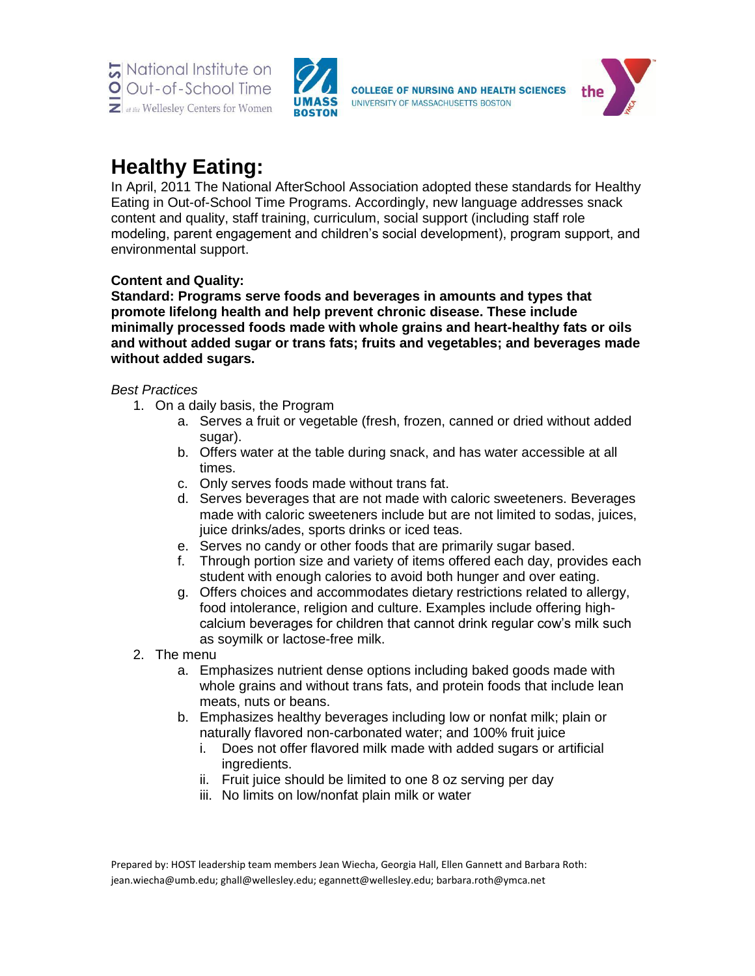



# **Healthy Eating:**

In April, 2011 The National AfterSchool Association adopted these standards for Healthy Eating in Out-of-School Time Programs. Accordingly, new language addresses snack content and quality, staff training, curriculum, social support (including staff role modeling, parent engagement and children's social development), program support, and environmental support.

# **Content and Quality:**

**Standard: Programs serve foods and beverages in amounts and types that promote lifelong health and help prevent chronic disease. These include minimally processed foods made with whole grains and heart-healthy fats or oils and without added sugar or trans fats; fruits and vegetables; and beverages made without added sugars.** 

# *Best Practices*

- 1. On a daily basis, the Program
	- a. Serves a fruit or vegetable (fresh, frozen, canned or dried without added sugar).
	- b. Offers water at the table during snack, and has water accessible at all times.
	- c. Only serves foods made without trans fat.
	- d. Serves beverages that are not made with caloric sweeteners. Beverages made with caloric sweeteners include but are not limited to sodas, juices, juice drinks/ades, sports drinks or iced teas.
	- e. Serves no candy or other foods that are primarily sugar based.
	- f. Through portion size and variety of items offered each day, provides each student with enough calories to avoid both hunger and over eating.
	- g. Offers choices and accommodates dietary restrictions related to allergy, food intolerance, religion and culture. Examples include offering highcalcium beverages for children that cannot drink regular cow's milk such as soymilk or lactose-free milk.
- 2. The menu
	- a. Emphasizes nutrient dense options including baked goods made with whole grains and without trans fats, and protein foods that include lean meats, nuts or beans.
	- b. Emphasizes healthy beverages including low or nonfat milk; plain or naturally flavored non-carbonated water; and 100% fruit juice
		- i. Does not offer flavored milk made with added sugars or artificial ingredients.
		- ii. Fruit juice should be limited to one 8 oz serving per day
		- iii. No limits on low/nonfat plain milk or water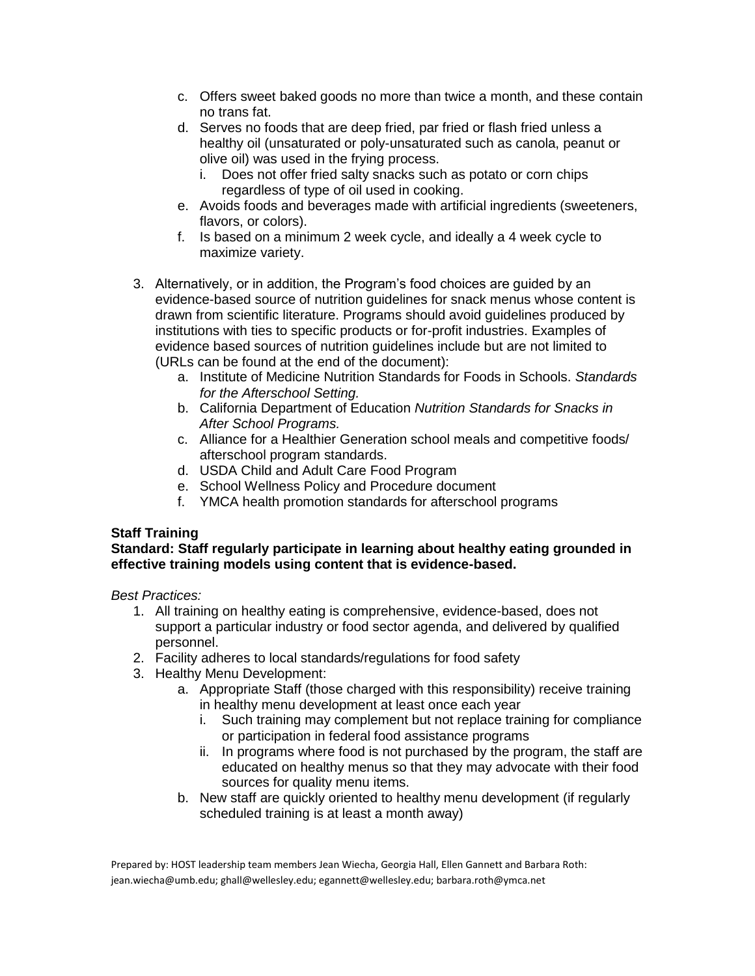- c. Offers sweet baked goods no more than twice a month, and these contain no trans fat.
- d. Serves no foods that are deep fried, par fried or flash fried unless a healthy oil (unsaturated or poly-unsaturated such as canola, peanut or olive oil) was used in the frying process.
	- i. Does not offer fried salty snacks such as potato or corn chips regardless of type of oil used in cooking.
- e. Avoids foods and beverages made with artificial ingredients (sweeteners, flavors, or colors).
- f. Is based on a minimum 2 week cycle, and ideally a 4 week cycle to maximize variety.
- 3. Alternatively, or in addition, the Program's food choices are guided by an evidence-based source of nutrition guidelines for snack menus whose content is drawn from scientific literature. Programs should avoid guidelines produced by institutions with ties to specific products or for-profit industries. Examples of evidence based sources of nutrition guidelines include but are not limited to (URLs can be found at the end of the document):
	- a. Institute of Medicine Nutrition Standards for Foods in Schools. *Standards for the Afterschool Setting.*
	- b. California Department of Education *Nutrition Standards for Snacks in After School Programs.*
	- c. Alliance for a Healthier Generation school meals and competitive foods/ afterschool program standards.
	- d. USDA Child and Adult Care Food Program
	- e. School Wellness Policy and Procedure document
	- f. YMCA health promotion standards for afterschool programs

# **Staff Training**

## **Standard: Staff regularly participate in learning about healthy eating grounded in effective training models using content that is evidence-based.**

*Best Practices:* 

- 1. All training on healthy eating is comprehensive, evidence-based, does not support a particular industry or food sector agenda, and delivered by qualified personnel.
- 2. Facility adheres to local standards/regulations for food safety
- 3. Healthy Menu Development:
	- a. Appropriate Staff (those charged with this responsibility) receive training in healthy menu development at least once each year
		- i. Such training may complement but not replace training for compliance or participation in federal food assistance programs
		- ii. In programs where food is not purchased by the program, the staff are educated on healthy menus so that they may advocate with their food sources for quality menu items.
	- b. New staff are quickly oriented to healthy menu development (if regularly scheduled training is at least a month away)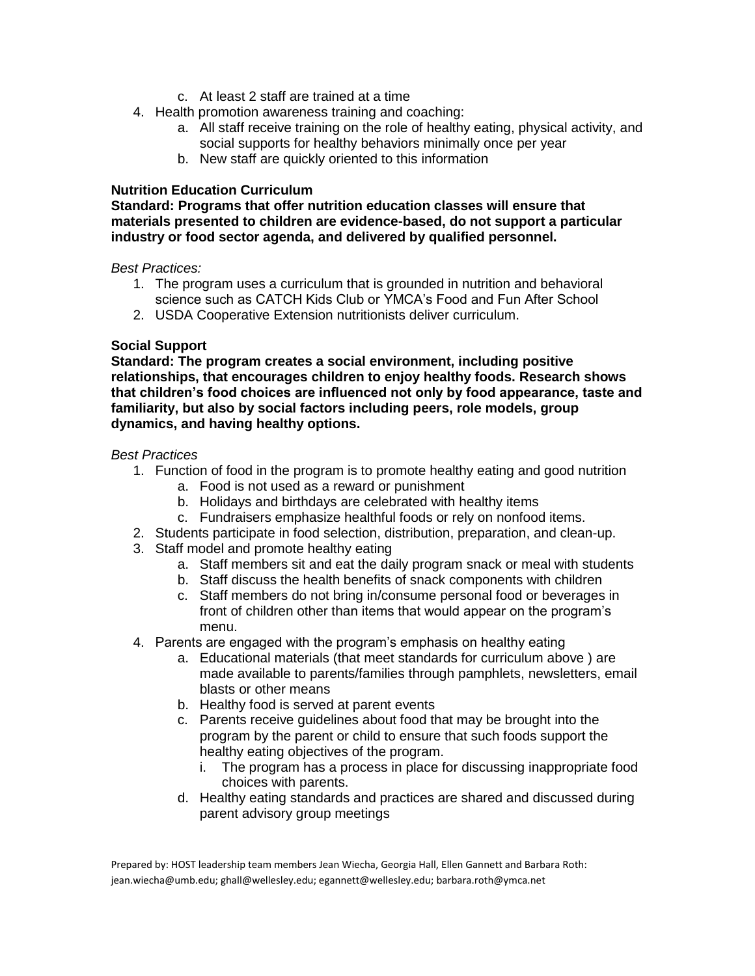- c. At least 2 staff are trained at a time
- 4. Health promotion awareness training and coaching:
	- a. All staff receive training on the role of healthy eating, physical activity, and social supports for healthy behaviors minimally once per year
	- b. New staff are quickly oriented to this information

## **Nutrition Education Curriculum**

## **Standard: Programs that offer nutrition education classes will ensure that materials presented to children are evidence-based, do not support a particular industry or food sector agenda, and delivered by qualified personnel.**

#### *Best Practices:*

- 1. The program uses a curriculum that is grounded in nutrition and behavioral science such as CATCH Kids Club or YMCA's Food and Fun After School
- 2. USDA Cooperative Extension nutritionists deliver curriculum.

## **Social Support**

**Standard: The program creates a social environment, including positive relationships, that encourages children to enjoy healthy foods. Research shows that children's food choices are influenced not only by food appearance, taste and familiarity, but also by social factors including peers, role models, group dynamics, and having healthy options.** 

#### *Best Practices*

- 1. Function of food in the program is to promote healthy eating and good nutrition
	- a. Food is not used as a reward or punishment
	- b. Holidays and birthdays are celebrated with healthy items
	- c. Fundraisers emphasize healthful foods or rely on nonfood items.
- 2. Students participate in food selection, distribution, preparation, and clean-up.
- 3. Staff model and promote healthy eating
	- a. Staff members sit and eat the daily program snack or meal with students
	- b. Staff discuss the health benefits of snack components with children
	- c. Staff members do not bring in/consume personal food or beverages in front of children other than items that would appear on the program's menu.
- 4. Parents are engaged with the program's emphasis on healthy eating
	- a. Educational materials (that meet standards for curriculum above ) are made available to parents/families through pamphlets, newsletters, email blasts or other means
	- b. Healthy food is served at parent events
	- c. Parents receive guidelines about food that may be brought into the program by the parent or child to ensure that such foods support the healthy eating objectives of the program.
		- i. The program has a process in place for discussing inappropriate food choices with parents.
	- d. Healthy eating standards and practices are shared and discussed during parent advisory group meetings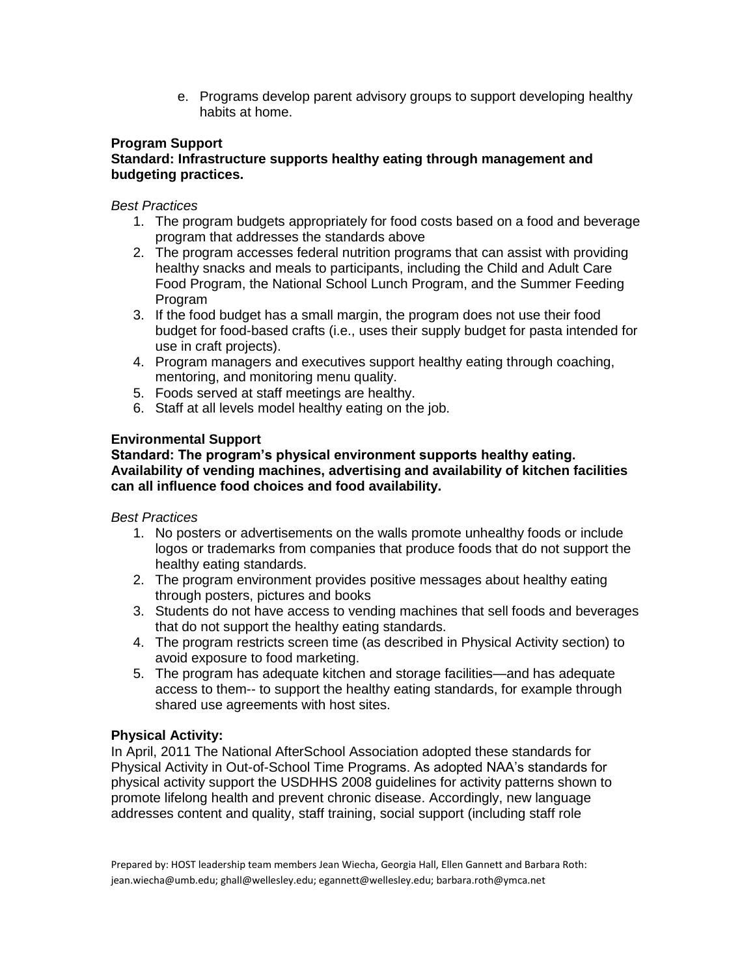e. Programs develop parent advisory groups to support developing healthy habits at home.

# **Program Support**

## **Standard: Infrastructure supports healthy eating through management and budgeting practices.**

## *Best Practices*

- 1. The program budgets appropriately for food costs based on a food and beverage program that addresses the standards above
- 2. The program accesses federal nutrition programs that can assist with providing healthy snacks and meals to participants, including the Child and Adult Care Food Program, the National School Lunch Program, and the Summer Feeding Program
- 3. If the food budget has a small margin, the program does not use their food budget for food-based crafts (i.e., uses their supply budget for pasta intended for use in craft projects).
- 4. Program managers and executives support healthy eating through coaching, mentoring, and monitoring menu quality.
- 5. Foods served at staff meetings are healthy.
- 6. Staff at all levels model healthy eating on the job.

# **Environmental Support**

## **Standard: The program's physical environment supports healthy eating. Availability of vending machines, advertising and availability of kitchen facilities can all influence food choices and food availability.**

#### *Best Practices*

- 1. No posters or advertisements on the walls promote unhealthy foods or include logos or trademarks from companies that produce foods that do not support the healthy eating standards.
- 2. The program environment provides positive messages about healthy eating through posters, pictures and books
- 3. Students do not have access to vending machines that sell foods and beverages that do not support the healthy eating standards.
- 4. The program restricts screen time (as described in Physical Activity section) to avoid exposure to food marketing.
- 5. The program has adequate kitchen and storage facilities—and has adequate access to them-- to support the healthy eating standards, for example through shared use agreements with host sites.

#### **Physical Activity:**

In April, 2011 The National AfterSchool Association adopted these standards for Physical Activity in Out-of-School Time Programs. As adopted NAA's standards for physical activity support the USDHHS 2008 guidelines for activity patterns shown to promote lifelong health and prevent chronic disease. Accordingly, new language addresses content and quality, staff training, social support (including staff role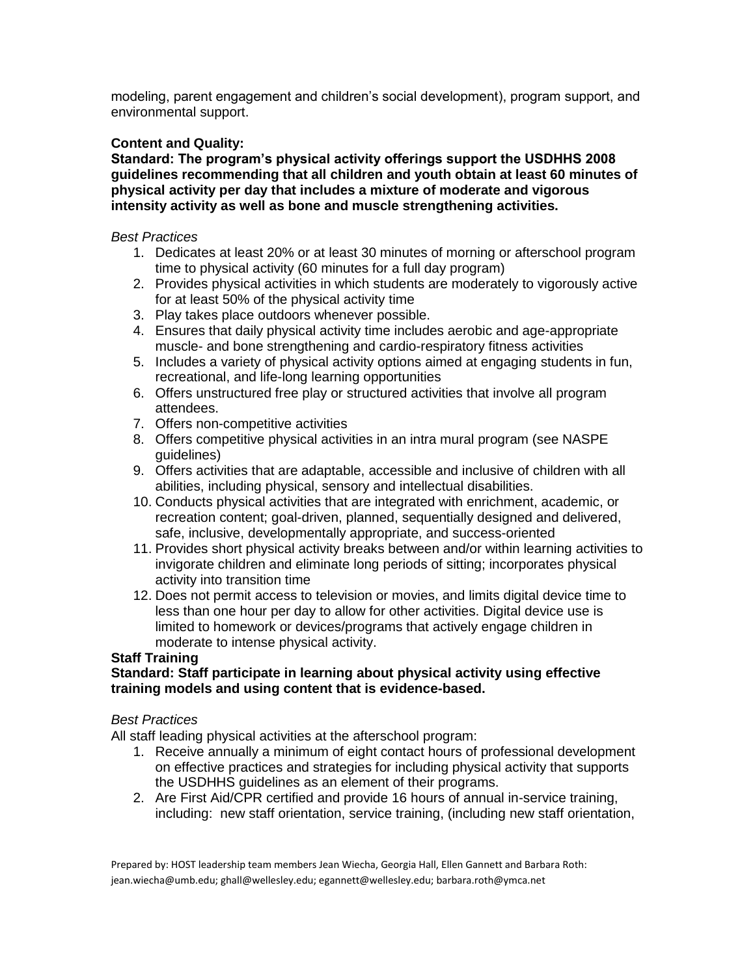modeling, parent engagement and children's social development), program support, and environmental support.

# **Content and Quality:**

**Standard: The program's physical activity offerings support the USDHHS 2008 guidelines recommending that all children and youth obtain at least 60 minutes of physical activity per day that includes a mixture of moderate and vigorous intensity activity as well as bone and muscle strengthening activities.** 

## *Best Practices*

- 1. Dedicates at least 20% or at least 30 minutes of morning or afterschool program time to physical activity (60 minutes for a full day program)
- 2. Provides physical activities in which students are moderately to vigorously active for at least 50% of the physical activity time
- 3. Play takes place outdoors whenever possible.
- 4. Ensures that daily physical activity time includes aerobic and age-appropriate muscle- and bone strengthening and cardio-respiratory fitness activities
- 5. Includes a variety of physical activity options aimed at engaging students in fun, recreational, and life-long learning opportunities
- 6. Offers unstructured free play or structured activities that involve all program attendees.
- 7. Offers non-competitive activities
- 8. Offers competitive physical activities in an intra mural program (see NASPE guidelines)
- 9. Offers activities that are adaptable, accessible and inclusive of children with all abilities, including physical, sensory and intellectual disabilities.
- 10. Conducts physical activities that are integrated with enrichment, academic, or recreation content; goal-driven, planned, sequentially designed and delivered, safe, inclusive, developmentally appropriate, and success-oriented
- 11. Provides short physical activity breaks between and/or within learning activities to invigorate children and eliminate long periods of sitting; incorporates physical activity into transition time
- 12. Does not permit access to television or movies, and limits digital device time to less than one hour per day to allow for other activities. Digital device use is limited to homework or devices/programs that actively engage children in moderate to intense physical activity.

# **Staff Training**

## **Standard: Staff participate in learning about physical activity using effective training models and using content that is evidence-based.**

# *Best Practices*

All staff leading physical activities at the afterschool program:

- 1. Receive annually a minimum of eight contact hours of professional development on effective practices and strategies for including physical activity that supports the USDHHS guidelines as an element of their programs.
- 2. Are First Aid/CPR certified and provide 16 hours of annual in-service training, including: new staff orientation, service training, (including new staff orientation,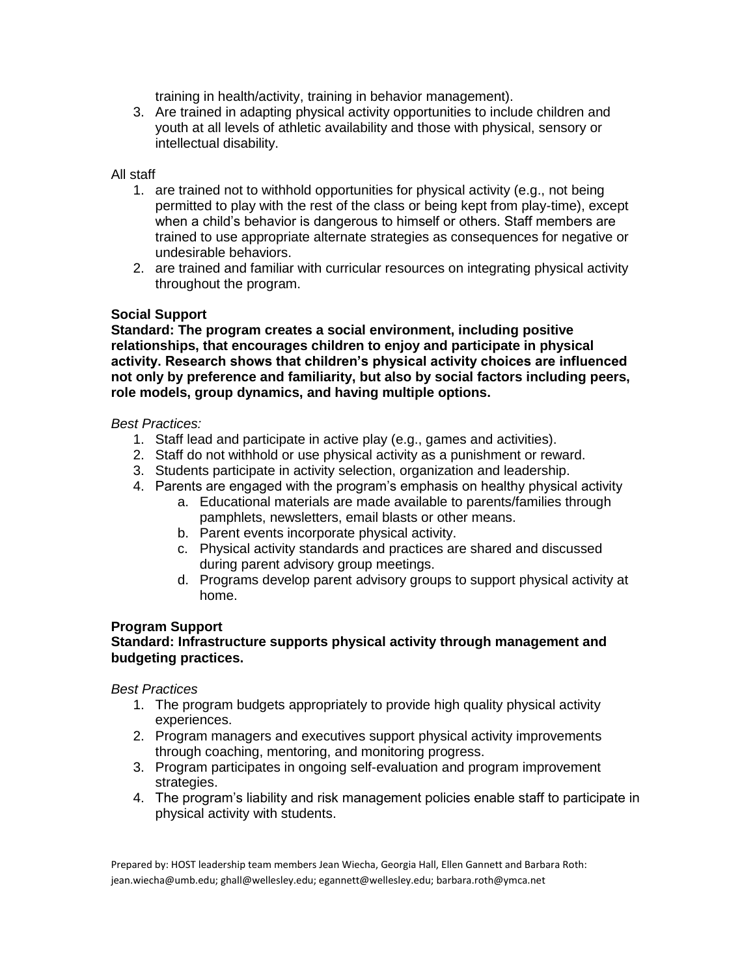training in health/activity, training in behavior management).

3. Are trained in adapting physical activity opportunities to include children and youth at all levels of athletic availability and those with physical, sensory or intellectual disability.

## All staff

- 1. are trained not to withhold opportunities for physical activity (e.g., not being permitted to play with the rest of the class or being kept from play-time), except when a child's behavior is dangerous to himself or others. Staff members are trained to use appropriate alternate strategies as consequences for negative or undesirable behaviors.
- 2. are trained and familiar with curricular resources on integrating physical activity throughout the program.

# **Social Support**

**Standard: The program creates a social environment, including positive relationships, that encourages children to enjoy and participate in physical activity. Research shows that children's physical activity choices are influenced not only by preference and familiarity, but also by social factors including peers, role models, group dynamics, and having multiple options.** 

## *Best Practices:*

- 1. Staff lead and participate in active play (e.g., games and activities).
- 2. Staff do not withhold or use physical activity as a punishment or reward.
- 3. Students participate in activity selection, organization and leadership.
- 4. Parents are engaged with the program's emphasis on healthy physical activity
	- a. Educational materials are made available to parents/families through pamphlets, newsletters, email blasts or other means.
	- b. Parent events incorporate physical activity.
	- c. Physical activity standards and practices are shared and discussed during parent advisory group meetings.
	- d. Programs develop parent advisory groups to support physical activity at home.

# **Program Support**

# **Standard: Infrastructure supports physical activity through management and budgeting practices.**

*Best Practices* 

- 1. The program budgets appropriately to provide high quality physical activity experiences.
- 2. Program managers and executives support physical activity improvements through coaching, mentoring, and monitoring progress.
- 3. Program participates in ongoing self-evaluation and program improvement strategies.
- 4. The program's liability and risk management policies enable staff to participate in physical activity with students.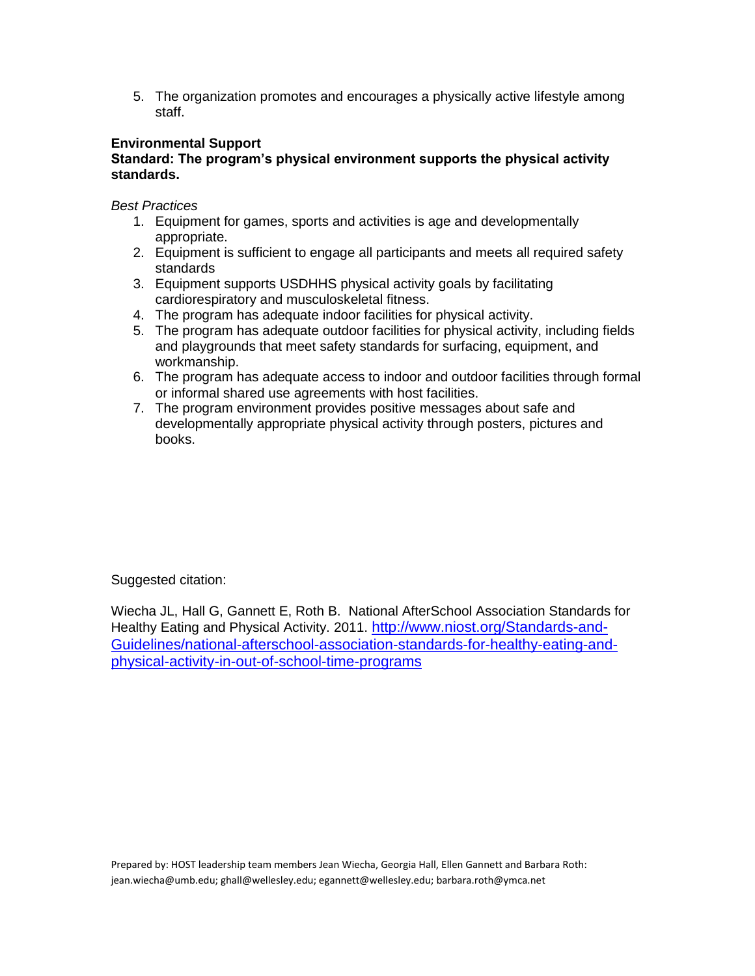5. The organization promotes and encourages a physically active lifestyle among staff.

# **Environmental Support**

# **Standard: The program's physical environment supports the physical activity standards.**

*Best Practices* 

- 1. Equipment for games, sports and activities is age and developmentally appropriate.
- 2. Equipment is sufficient to engage all participants and meets all required safety standards
- 3. Equipment supports USDHHS physical activity goals by facilitating cardiorespiratory and musculoskeletal fitness.
- 4. The program has adequate indoor facilities for physical activity.
- 5. The program has adequate outdoor facilities for physical activity, including fields and playgrounds that meet safety standards for surfacing, equipment, and workmanship.
- 6. The program has adequate access to indoor and outdoor facilities through formal or informal shared use agreements with host facilities.
- 7. The program environment provides positive messages about safe and developmentally appropriate physical activity through posters, pictures and books.

Suggested citation:

Wiecha JL, Hall G, Gannett E, Roth B. National AfterSchool Association Standards for Healthy Eating and Physical Activity. 2011. [http://www.niost.org/Standards-and-](http://www.niost.org/Standards-and-Guidelines/national-afterschool-association-standards-for-healthy-eating-and-physical-activity-in-out-of-school-time-programs)[Guidelines/national-afterschool-association-standards-for-healthy-eating-and](http://www.niost.org/Standards-and-Guidelines/national-afterschool-association-standards-for-healthy-eating-and-physical-activity-in-out-of-school-time-programs)[physical-activity-in-out-of-school-time-programs](http://www.niost.org/Standards-and-Guidelines/national-afterschool-association-standards-for-healthy-eating-and-physical-activity-in-out-of-school-time-programs)